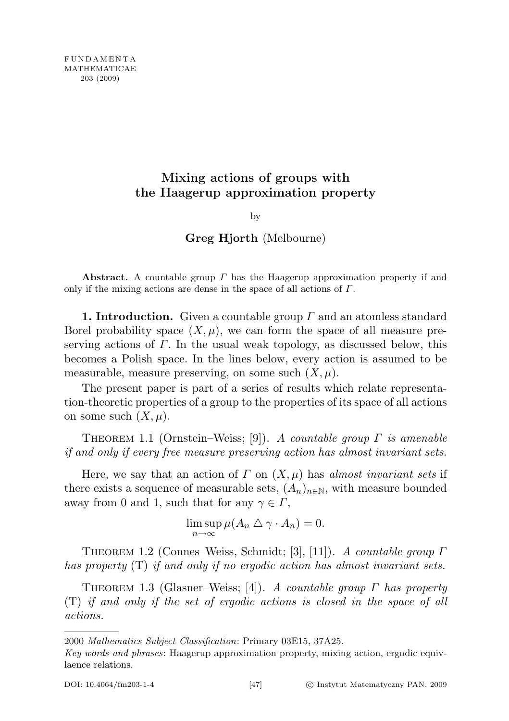# Mixing actions of groups with the Haagerup approximation property

by

Greg Hjorth (Melbourne)

Abstract. A countable group  $\Gamma$  has the Haagerup approximation property if and only if the mixing actions are dense in the space of all actions of Γ.

**1. Introduction.** Given a countable group  $\Gamma$  and an atomless standard Borel probability space  $(X, \mu)$ , we can form the space of all measure preserving actions of  $\Gamma$ . In the usual weak topology, as discussed below, this becomes a Polish space. In the lines below, every action is assumed to be measurable, measure preserving, on some such  $(X, \mu)$ .

The present paper is part of a series of results which relate representation-theoretic properties of a group to the properties of its space of all actions on some such  $(X, \mu)$ .

THEOREM 1.1 (Ornstein–Weiss; [9]). A countable group  $\Gamma$  is amenable if and only if every free measure preserving action has almost invariant sets.

Here, we say that an action of  $\Gamma$  on  $(X, \mu)$  has almost invariant sets if there exists a sequence of measurable sets,  $(A_n)_{n\in\mathbb{N}}$ , with measure bounded away from 0 and 1, such that for any  $\gamma \in \Gamma$ ,

> $\limsup \mu(A_n \bigtriangleup \gamma \cdot A_n) = 0.$ n→∞

THEOREM 1.2 (Connes–Weiss, Schmidt; [3], [11]). A countable group  $\Gamma$ has property (T) if and only if no ergodic action has almost invariant sets.

THEOREM 1.3 (Glasner–Weiss; [4]). A countable group  $\Gamma$  has property (T) if and only if the set of ergodic actions is closed in the space of all actions.

2000 Mathematics Subject Classification: Primary 03E15, 37A25.

Key words and phrases: Haagerup approximation property, mixing action, ergodic equivlaence relations.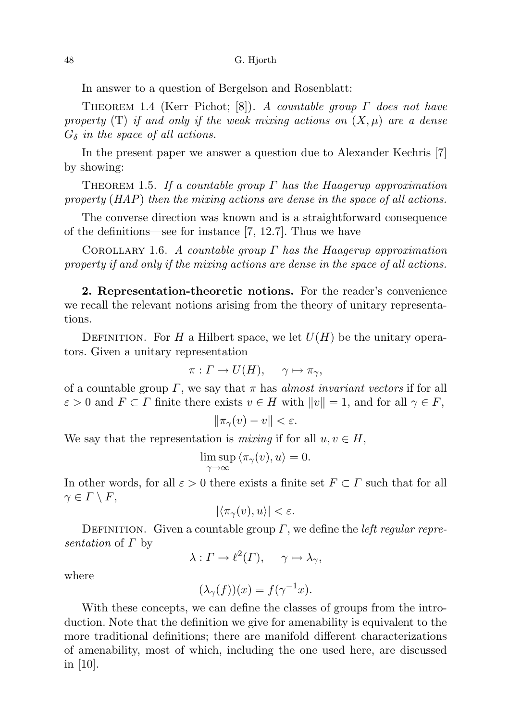In answer to a question of Bergelson and Rosenblatt:

THEOREM 1.4 (Kerr–Pichot; [8]). A countable group  $\Gamma$  does not have property  $(T)$  if and only if the weak mixing actions on  $(X, \mu)$  are a dense  $G_{\delta}$  in the space of all actions.

In the present paper we answer a question due to Alexander Kechris [7] by showing:

THEOREM 1.5. If a countable group  $\Gamma$  has the Haagerup approximation property (HAP) then the mixing actions are dense in the space of all actions.

The converse direction was known and is a straightforward consequence of the definitions—see for instance [7, 12.7]. Thus we have

COROLLARY 1.6. A countable group  $\Gamma$  has the Haagerup approximation property if and only if the mixing actions are dense in the space of all actions.

2. Representation-theoretic notions. For the reader's convenience we recall the relevant notions arising from the theory of unitary representations.

DEFINITION. For H a Hilbert space, we let  $U(H)$  be the unitary operators. Given a unitary representation

$$
\pi: \Gamma \to U(H), \quad \gamma \mapsto \pi_{\gamma},
$$

of a countable group  $\Gamma$ , we say that  $\pi$  has *almost invariant vectors* if for all  $\varepsilon > 0$  and  $F \subset \Gamma$  finite there exists  $v \in H$  with  $||v|| = 1$ , and for all  $\gamma \in F$ ,

$$
\|\pi_\gamma(v)-v\|<\varepsilon.
$$

We say that the representation is *mixing* if for all  $u, v \in H$ ,

$$
\limsup_{\gamma \to \infty} \langle \pi_{\gamma}(v), u \rangle = 0.
$$

In other words, for all  $\varepsilon > 0$  there exists a finite set  $F \subset \Gamma$  such that for all  $\gamma \in \Gamma \setminus F$ ,

$$
|\langle \pi_{\gamma}(v), u \rangle| < \varepsilon.
$$

DEFINITION. Given a countable group  $\Gamma$ , we define the *left regular repre*sentation of  $\Gamma$  by

 $\lambda: \Gamma \to \ell^2(\Gamma), \quad \gamma \mapsto \lambda_\gamma,$ 

where

$$
(\lambda_{\gamma}(f))(x) = f(\gamma^{-1}x).
$$

With these concepts, we can define the classes of groups from the introduction. Note that the definition we give for amenability is equivalent to the more traditional definitions; there are manifold different characterizations of amenability, most of which, including the one used here, are discussed in  $|10|$ .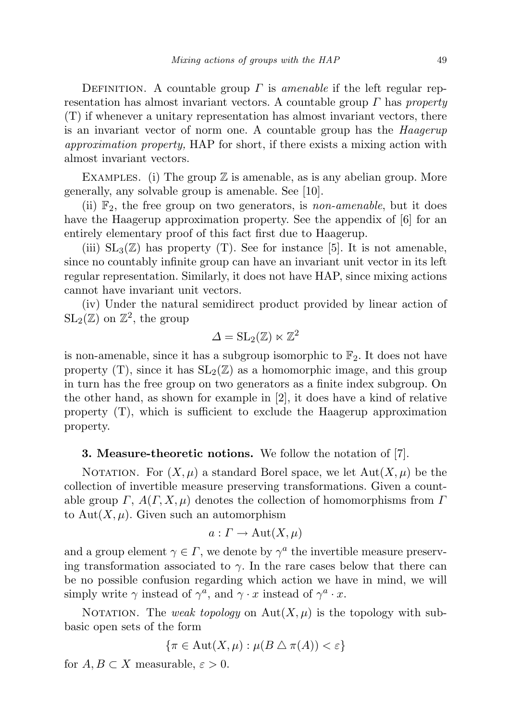DEFINITION. A countable group  $\Gamma$  is amenable if the left regular representation has almost invariant vectors. A countable group  $\Gamma$  has property (T) if whenever a unitary representation has almost invariant vectors, there is an invariant vector of norm one. A countable group has the Haagerup approximation property, HAP for short, if there exists a mixing action with almost invariant vectors.

EXAMPLES. (i) The group  $\mathbb Z$  is amenable, as is any abelian group. More generally, any solvable group is amenable. See [10].

(ii)  $\mathbb{F}_2$ , the free group on two generators, is *non-amenable*, but it does have the Haagerup approximation property. See the appendix of [6] for an entirely elementary proof of this fact first due to Haagerup.

(iii)  $SL_3(\mathbb{Z})$  has property (T). See for instance [5]. It is not amenable, since no countably infinite group can have an invariant unit vector in its left regular representation. Similarly, it does not have HAP, since mixing actions cannot have invariant unit vectors.

(iv) Under the natural semidirect product provided by linear action of  $SL_2(\mathbb{Z})$  on  $\mathbb{Z}^2$ , the group

$$
\varDelta = \mathrm{SL}_2(\mathbb{Z}) \ltimes \mathbb{Z}^2
$$

is non-amenable, since it has a subgroup isomorphic to  $\mathbb{F}_2$ . It does not have property  $(T)$ , since it has  $SL_2(\mathbb{Z})$  as a homomorphic image, and this group in turn has the free group on two generators as a finite index subgroup. On the other hand, as shown for example in [2], it does have a kind of relative property (T), which is sufficient to exclude the Haagerup approximation property.

## 3. Measure-theoretic notions. We follow the notation of [7].

NOTATION. For  $(X, \mu)$  a standard Borel space, we let  $Aut(X, \mu)$  be the collection of invertible measure preserving transformations. Given a countable group  $\Gamma$ ,  $A(\Gamma, X, \mu)$  denotes the collection of homomorphisms from  $\Gamma$ to Aut $(X, \mu)$ . Given such an automorphism

$$
a: \Gamma \to \text{Aut}(X, \mu)
$$

and a group element  $\gamma \in \Gamma$ , we denote by  $\gamma^a$  the invertible measure preserving transformation associated to  $\gamma$ . In the rare cases below that there can be no possible confusion regarding which action we have in mind, we will simply write  $\gamma$  instead of  $\gamma^a$ , and  $\gamma \cdot x$  instead of  $\gamma^a \cdot x$ .

NOTATION. The weak topology on  $Aut(X, \mu)$  is the topology with subbasic open sets of the form

$$
\{\pi \in \text{Aut}(X,\mu) : \mu(B \bigtriangleup \pi(A)) < \varepsilon\}
$$

for  $A, B \subset X$  measurable,  $\varepsilon > 0$ .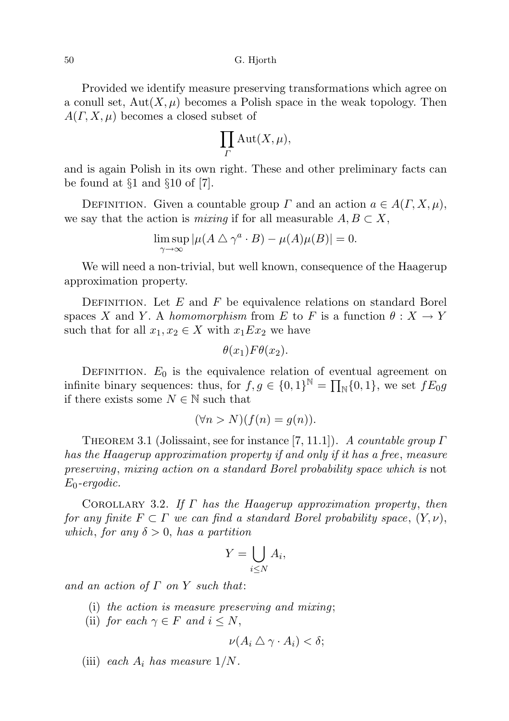50 G. Hjorth

Provided we identify measure preserving transformations which agree on a conull set,  $Aut(X, \mu)$  becomes a Polish space in the weak topology. Then  $A(\Gamma, X, \mu)$  becomes a closed subset of

$$
\prod_{\Gamma}\mathrm{Aut}(X,\mu),
$$

and is again Polish in its own right. These and other preliminary facts can be found at  $\S1$  and  $\S10$  of [7].

DEFINITION. Given a countable group  $\Gamma$  and an action  $a \in A(\Gamma, X, \mu)$ , we say that the action is *mixing* if for all measurable  $A, B \subset X$ ,

$$
\limsup_{\gamma \to \infty} |\mu(A \bigtriangleup \gamma^a \cdot B) - \mu(A)\mu(B)| = 0.
$$

We will need a non-trivial, but well known, consequence of the Haagerup approximation property.

DEFINITION. Let  $E$  and  $F$  be equivalence relations on standard Borel spaces X and Y. A homomorphism from E to F is a function  $\theta : X \to Y$ such that for all  $x_1, x_2 \in X$  with  $x_1Ex_2$  we have

$$
\theta(x_1)F\theta(x_2).
$$

DEFINITION.  $E_0$  is the equivalence relation of eventual agreement on infinite binary sequences: thus, for  $f, g \in \{0, 1\}^{\mathbb{N}} = \prod_{\mathbb{N}} \{0, 1\}$ , we set  $fE_0g$ if there exists some  $N \in \mathbb{N}$  such that

$$
(\forall n > N)(f(n) = g(n)).
$$

THEOREM 3.1 (Jolissaint, see for instance [7, 11.1]). A countable group  $\Gamma$ has the Haagerup approximation property if and only if it has a free, measure preserving, mixing action on a standard Borel probability space which is not  $E_0$ -ergodic.

COROLLARY 3.2. If  $\Gamma$  has the Haagerup approximation property, then for any finite  $F \subset \Gamma$  we can find a standard Borel probability space,  $(Y, \nu)$ , which, for any  $\delta > 0$ , has a partition

$$
Y = \bigcup_{i \leq N} A_i,
$$

and an action of  $\Gamma$  on  $Y$  such that:

- (i) the action is measure preserving and mixing;
- (ii) for each  $\gamma \in F$  and  $i \leq N$ ,

$$
\nu(A_i \bigtriangleup \gamma \cdot A_i) < \delta;
$$

(iii) each  $A_i$  has measure  $1/N$ .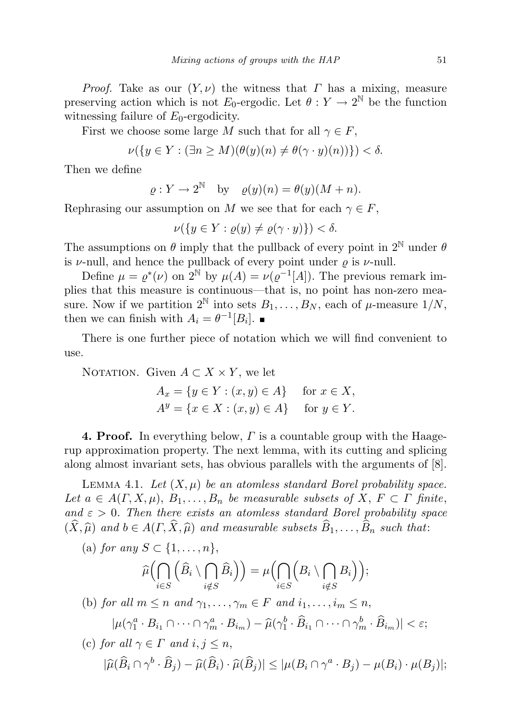*Proof.* Take as our  $(Y, \nu)$  the witness that  $\Gamma$  has a mixing, measure preserving action which is not  $E_0$ -ergodic. Let  $\theta: Y \to 2^{\mathbb{N}}$  be the function witnessing failure of  $E_0$ -ergodicity.

First we choose some large M such that for all  $\gamma \in F$ ,

$$
\nu({y \in Y : (\exists n \ge M)(\theta(y)(n) \ne \theta(\gamma \cdot y)(n))}) < \delta.
$$

Then we define

$$
\varrho: Y \to 2^{\mathbb{N}}
$$
 by  $\varrho(y)(n) = \theta(y)(M+n)$ .

Rephrasing our assumption on M we see that for each  $\gamma \in F$ ,

$$
\nu({y \in Y : \varrho(y) \neq \varrho(\gamma \cdot y)}) < \delta.
$$

The assumptions on  $\theta$  imply that the pullback of every point in  $2^{\mathbb{N}}$  under  $\theta$ is  $\nu$ -null, and hence the pullback of every point under  $\rho$  is  $\nu$ -null.

Define  $\mu = \varrho^*(\nu)$  on  $2^{\mathbb{N}}$  by  $\mu(A) = \nu(\varrho^{-1}[A])$ . The previous remark implies that this measure is continuous—that is, no point has non-zero measure. Now if we partition  $2^{\mathbb{N}}$  into sets  $B_1, \ldots, B_N$ , each of  $\mu$ -measure  $1/N$ , then we can finish with  $A_i = \theta^{-1}[B_i].$ 

There is one further piece of notation which we will find convenient to use.

NOTATION. Given  $A \subset X \times Y$ , we let

$$
A_x = \{ y \in Y : (x, y) \in A \} \quad \text{for } x \in X,
$$
  

$$
A^y = \{ x \in X : (x, y) \in A \} \quad \text{for } y \in Y.
$$

**4. Proof.** In everything below,  $\Gamma$  is a countable group with the Haagerup approximation property. The next lemma, with its cutting and splicing along almost invariant sets, has obvious parallels with the arguments of [8].

LEMMA 4.1. Let  $(X, \mu)$  be an atomless standard Borel probability space. Let  $a \in A(\Gamma, X, \mu)$ ,  $B_1, \ldots, B_n$  be measurable subsets of  $X, F \subset \Gamma$  finite, and  $\varepsilon > 0$ . Then there exists an atomless standard Borel probability space  $(\widehat{X}, \widehat{\mu})$  and  $b \in A(\Gamma, \widehat{X}, \widehat{\mu})$  and measurable subsets  $\widehat{B}_1, \ldots, \widehat{B}_n$  such that:<br>(a) for any  $S \subset \{1, \ldots, n\}$ ,

(a) for any 
$$
S \subset \{1, ..., n\}
$$
,  
\n
$$
\widehat{\mu}\Big(\bigcap_{i \in S} \Big(\widehat{B}_i \setminus \bigcap_{i \notin S} \widehat{B}_i\Big)\Big) = \mu\Big(\bigcap_{i \in S} \Big(B_i \setminus \bigcap_{i \notin S} B_i\Big)\Big);
$$
\n(b) for all  $m \le n$  and  $\gamma_1, ..., \gamma_m \in F$  and  $i_1, ..., i_m \le n$ ,  
\n
$$
|\mu(\gamma_1^a \cdot B_{i_1} \cap \cdots \cap \gamma_m^a \cdot B_{i_m}) - \widehat{\mu}(\gamma_1^b \cdot \widehat{B}_{i_1} \cap \cdots \cap \gamma_m^b \cdot \widehat{B}_{i_m})| < \varepsilon;
$$

(c) for all 
$$
\gamma \in \Gamma
$$
 and  $i, j \leq n$ ,  
\n
$$
|\widehat{\mu}(\widehat{B}_i \cap \gamma^b \cdot \widehat{B}_j) - \widehat{\mu}(\widehat{B}_i) \cdot \widehat{\mu}(\widehat{B}_j)| \leq |\mu(B_i \cap \gamma^a \cdot B_j) - \mu(B_i) \cdot \mu(B_j)|;
$$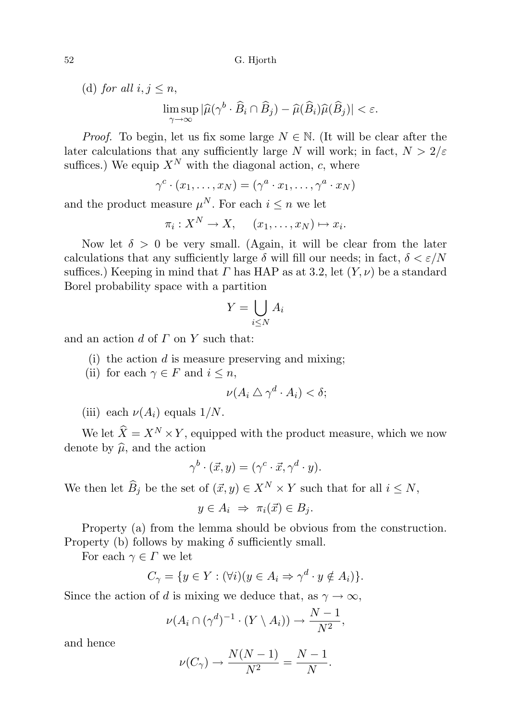(d) for all  $i, j \leq n$ ,

lim sup  $\max_{\gamma \to \infty} |\widehat{\mu}(\gamma^b \cdot \widehat{B}_i \cap \widehat{B}_j) - \widehat{\mu}(\widehat{B}_i) \widehat{\mu}(\widehat{B}_j)| < \varepsilon.$ 

*Proof.* To begin, let us fix some large  $N \in \mathbb{N}$ . (It will be clear after the later calculations that any sufficiently large N will work; in fact,  $N > 2/\varepsilon$ suffices.) We equip  $X^N$  with the diagonal action, c, where

$$
\gamma^c \cdot (x_1, \dots, x_N) = (\gamma^a \cdot x_1, \dots, \gamma^a \cdot x_N)
$$

and the product measure  $\mu^N$ . For each  $i \leq n$  we let

$$
\pi_i: X^N \to X, \quad (x_1, \ldots, x_N) \mapsto x_i.
$$

Now let  $\delta > 0$  be very small. (Again, it will be clear from the later calculations that any sufficiently large  $\delta$  will fill our needs; in fact,  $\delta < \varepsilon/N$ suffices.) Keeping in mind that  $\Gamma$  has HAP as at 3.2, let  $(Y, \nu)$  be a standard Borel probability space with a partition

$$
Y = \bigcup_{i \le N} A_i
$$

and an action  $d$  of  $\Gamma$  on  $Y$  such that:

(i) the action  $d$  is measure preserving and mixing;

(ii) for each  $\gamma \in F$  and  $i \leq n$ ,

$$
\nu(A_i \bigtriangleup \gamma^d \cdot A_i) < \delta;
$$

(iii) each  $\nu(A_i)$  equals  $1/N$ .

We let  $\widehat{X} = X^N \times Y$ , equipped with the product measure, which we now denote by  $\hat{\mu}$ , and the action

$$
\gamma^b \cdot (\vec{x}, y) = (\gamma^c \cdot \vec{x}, \gamma^d \cdot y).
$$

We then let  $\widehat{B}_j$  be the set of  $(\vec{x}, y) \in X^N \times Y$  such that for all  $i \leq N$ ,

$$
y \in A_i \Rightarrow \pi_i(\vec{x}) \in B_j.
$$

Property (a) from the lemma should be obvious from the construction. Property (b) follows by making  $\delta$  sufficiently small.

For each  $\gamma \in \Gamma$  we let

$$
C_{\gamma} = \{ y \in Y : (\forall i)(y \in A_i \Rightarrow \gamma^d \cdot y \notin A_i) \}.
$$

Since the action of d is mixing we deduce that, as  $\gamma \to \infty$ ,

$$
\nu(A_i \cap (\gamma^d)^{-1} \cdot (Y \setminus A_i)) \to \frac{N-1}{N^2},
$$

and hence

$$
\nu(C_{\gamma}) \to \frac{N(N-1)}{N^2} = \frac{N-1}{N}.
$$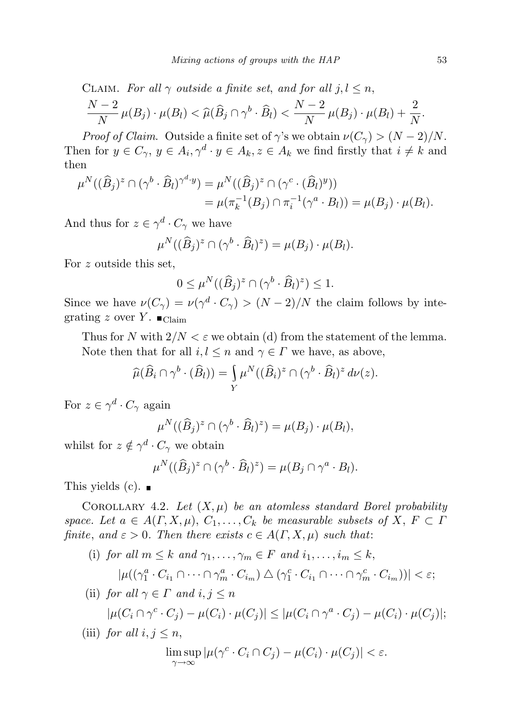CLAIM. For all  $\gamma$  outside a finite set, and for all  $j, l \leq n$ ,  $N-2$  $\frac{(-2)}{N} \mu(B_j) \cdot \mu(B_l) < \widehat{\mu}(\widehat{B}_j \cap \gamma^b \cdot \widehat{B}_l) < \frac{N-2}{N}$  $\frac{(-2)}{N} \mu(B_j) \cdot \mu(B_l) + \frac{2}{N}.$ 

*Proof of Claim.* Outside a finite set of  $\gamma$ 's we obtain  $\nu(C_{\gamma}) > (N-2)/N$ . Then for  $y \in C_{\gamma}$ ,  $y \in A_i$ ,  $\gamma^d \cdot y \in A_k$ ,  $z \in A_k$  we find firstly that  $i \neq k$  and then

$$
\mu^N((\widehat{B}_j)^z \cap (\gamma^b \cdot \widehat{B}_l)^{\gamma^d \cdot y}) = \mu^N((\widehat{B}_j)^z \cap (\gamma^c \cdot (\widehat{B}_l)^y))
$$
  
= 
$$
\mu(\pi_k^{-1}(B_j) \cap \pi_i^{-1}(\gamma^a \cdot B_l)) = \mu(B_j) \cdot \mu(B_l).
$$

And thus for  $z \in \gamma^d \cdot C_\gamma$  we have

$$
\mu^N((\widehat{B}_j)^z \cap (\gamma^b \cdot \widehat{B}_l)^z) = \mu(B_j) \cdot \mu(B_l).
$$

For z outside this set,

$$
0 \le \mu^N((\widehat{B}_j)^z \cap (\gamma^b \cdot \widehat{B}_l)^z) \le 1.
$$

Since we have  $\nu(C_\gamma) = \nu(\gamma^d \cdot C_\gamma) > (N-2)/N$  the claim follows by integrating z over Y.  $\blacksquare$ <sub>Claim</sub>

Thus for N with  $2/N < \varepsilon$  we obtain (d) from the statement of the lemma. Note then that for all  $i, l \leq n$  and  $\gamma \in \Gamma$  we have, as above,

$$
\widehat{\mu}(\widehat{B}_i \cap \gamma^b \cdot (\widehat{B}_l)) = \int_Y \mu^N((\widehat{B}_i)^z \cap (\gamma^b \cdot \widehat{B}_l)^z d\nu(z).
$$

For  $z \in \gamma^d \cdot C_\gamma$  again

$$
\mu^N((\widehat{B}_j)^z \cap (\gamma^b \cdot \widehat{B}_l)^z) = \mu(B_j) \cdot \mu(B_l),
$$

whilst for  $z \notin \gamma^d \cdot C_\gamma$  we obtain

$$
\mu^N((\widehat{B}_j)^z \cap (\gamma^b \cdot \widehat{B}_l)^z) = \mu(B_j \cap \gamma^a \cdot B_l).
$$

This yields  $(c)$ .

COROLLARY 4.2. Let  $(X, \mu)$  be an atomless standard Borel probability space. Let  $a \in A(\Gamma, X, \mu), C_1, \ldots, C_k$  be measurable subsets of  $X, F \subset \Gamma$ finite, and  $\varepsilon > 0$ . Then there exists  $c \in A(\Gamma, X, \mu)$  such that:

- (i) for all  $m \leq k$  and  $\gamma_1, \ldots, \gamma_m \in F$  and  $i_1, \ldots, i_m \leq k$ ,  $|\mu((\gamma_1^a \cdot C_{i_1} \cap \cdots \cap \gamma_m^a \cdot C_{i_m}) \bigtriangleup (\gamma_1^c \cdot C_{i_1} \cap \cdots \cap \gamma_m^c \cdot C_{i_m}))| < \varepsilon;$
- (ii) for all  $\gamma \in \Gamma$  and  $i, j \leq n$  $|\mu(C_i \cap \gamma^c \cdot C_j) - \mu(C_i) \cdot \mu(C_j)| \leq |\mu(C_i \cap \gamma^a \cdot C_j) - \mu(C_i) \cdot \mu(C_j)|;$
- (iii) for all  $i, j \leq n$ ,

$$
\limsup_{\gamma \to \infty} |\mu(\gamma^c \cdot C_i \cap C_j) - \mu(C_i) \cdot \mu(C_j)| < \varepsilon.
$$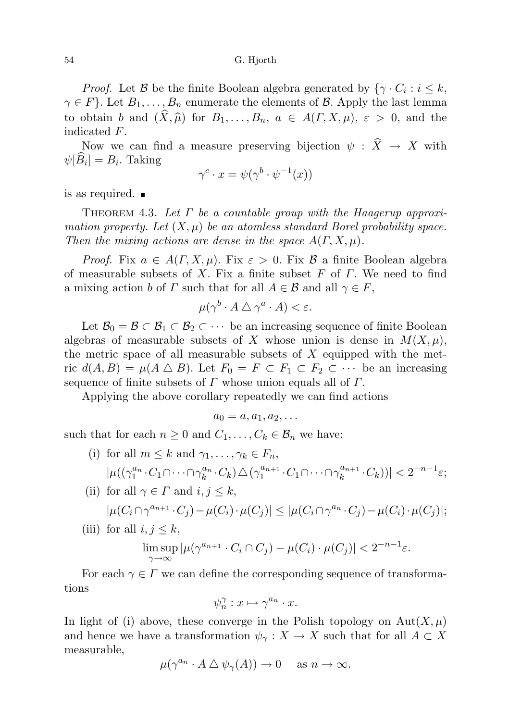#### 54 G. Hjorth

*Proof.* Let  $\beta$  be the finite Boolean algebra generated by  $\{\gamma \cdot C_i : i \leq k, \gamma \in C_i\}$  $\gamma \in F$ . Let  $B_1, \ldots, B_n$  enumerate the elements of  $\beta$ . Apply the last lemma to obtain b and  $(\widehat{X}, \widehat{\mu})$  for  $B_1, \ldots, B_n$ ,  $a \in A(\Gamma, X, \mu), \varepsilon > 0$ , and the indicated F.

Now we can find a measure preserving bijection  $\psi : \hat{X} \to X$  with  $\psi[B_i] = B_i$ . Taking

$$
\gamma^c \cdot x = \psi(\gamma^b \cdot \psi^{-1}(x))
$$

is as required.

THEOREM 4.3. Let  $\Gamma$  be a countable group with the Haagerup approximation property. Let  $(X, \mu)$  be an atomless standard Borel probability space. Then the mixing actions are dense in the space  $A(\Gamma, X, \mu)$ .

*Proof.* Fix  $a \in A(\Gamma, X, \mu)$ . Fix  $\varepsilon > 0$ . Fix  $\beta$  a finite Boolean algebra of measurable subsets of X. Fix a finite subset F of  $\Gamma$ . We need to find a mixing action b of  $\Gamma$  such that for all  $A \in \mathcal{B}$  and all  $\gamma \in \Gamma$ ,

$$
\mu(\gamma^b \cdot A \bigtriangleup \gamma^a \cdot A) < \varepsilon.
$$

Let  $\mathcal{B}_0 = \mathcal{B} \subset \mathcal{B}_1 \subset \mathcal{B}_2 \subset \cdots$  be an increasing sequence of finite Boolean algebras of measurable subsets of X whose union is dense in  $M(X,\mu)$ , the metric space of all measurable subsets of  $X$  equipped with the metric  $d(A, B) = \mu(A \triangle B)$ . Let  $F_0 = F \subset F_1 \subset F_2 \subset \cdots$  be an increasing sequence of finite subsets of  $\Gamma$  whose union equals all of  $\Gamma$ .

Applying the above corollary repeatedly we can find actions

$$
a_0=a, a_1, a_2, \ldots
$$

such that for each  $n \geq 0$  and  $C_1, \ldots, C_k \in \mathcal{B}_n$  we have:

- (i) for all  $m \leq k$  and  $\gamma_1, \ldots, \gamma_k \in F_n$ ,  $|\mu((\gamma_1^{a_n} \cdot C_1 \cap \cdots \cap \gamma_k^{a_n} \cdot C_k) \triangle (\gamma_1^{a_{n+1}}$  $a_{n+1}^a \cdot C_1 \cap \cdots \cap \gamma_k^{a_{n+1}}$  $|_{k}^{a_{n+1}}(C_k)| < 2^{-n-1}\varepsilon;$
- (ii) for all  $\gamma \in \Gamma$  and  $i, j \leq k$ ,  $|\mu(C_i \cap \gamma^{a_{n+1}} \cdot C_j) - \mu(C_i) \cdot \mu(C_j)| \leq |\mu(C_i \cap \gamma^{a_n} \cdot C_j) - \mu(C_i) \cdot \mu(C_j)|;$
- (iii) for all  $i, j \leq k$ ,

$$
\limsup_{\gamma \to \infty} |\mu(\gamma^{a_{n+1}} \cdot C_i \cap C_j) - \mu(C_i) \cdot \mu(C_j)| < 2^{-n-1}\varepsilon.
$$

For each  $\gamma \in \Gamma$  we can define the corresponding sequence of transformations

$$
\psi_n^{\gamma} : x \mapsto \gamma^{a_n} \cdot x.
$$

In light of (i) above, these converge in the Polish topology on  $\text{Aut}(X,\mu)$ and hence we have a transformation  $\psi_{\gamma}: X \to X$  such that for all  $A \subset X$ measurable,

$$
\mu(\gamma^{a_n} \cdot A \bigtriangleup \psi_\gamma(A)) \to 0 \quad \text{as } n \to \infty.
$$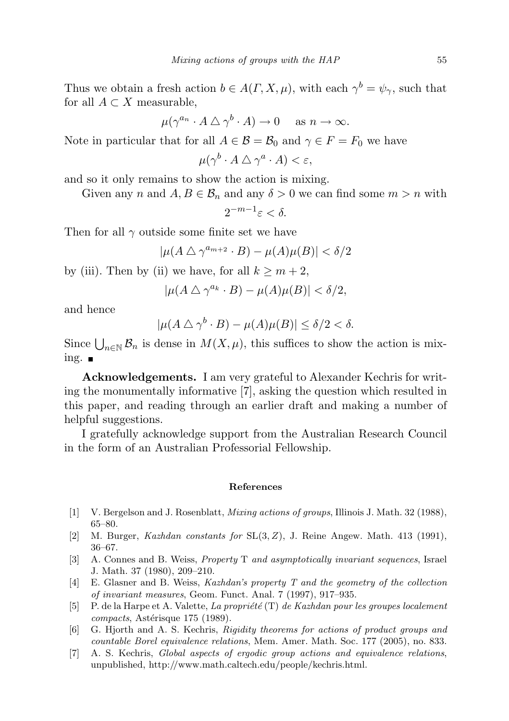Thus we obtain a fresh action  $b \in A(\Gamma, X, \mu)$ , with each  $\gamma^b = \psi_{\gamma}$ , such that for all  $A \subset X$  measurable,

$$
\mu(\gamma^{a_n} \cdot A \bigtriangleup \gamma^b \cdot A) \to 0 \quad \text{ as } n \to \infty.
$$

Note in particular that for all  $A \in \mathcal{B} = \mathcal{B}_0$  and  $\gamma \in F = F_0$  we have

 $\mu(\gamma^b \cdot A \bigtriangleup \gamma^a \cdot A) < \varepsilon,$ 

and so it only remains to show the action is mixing.

Given any n and  $A, B \in \mathcal{B}_n$  and any  $\delta > 0$  we can find some  $m > n$  with

 $2^{-m-1}\varepsilon < \delta.$ 

Then for all  $\gamma$  outside some finite set we have

 $|\mu(A \bigtriangleup \gamma^{a_{m+2}} \cdot B) - \mu(A)\mu(B)| < \delta/2$ 

by (iii). Then by (ii) we have, for all  $k \geq m+2$ ,

$$
|\mu(A \bigtriangleup \gamma^{a_k} \cdot B) - \mu(A)\mu(B)| < \delta/2,
$$

and hence

$$
|\mu(A \bigtriangleup \gamma^{b} \cdot B) - \mu(A)\mu(B)| \le \delta/2 < \delta.
$$

Since  $\bigcup_{n\in\mathbb{N}}\mathcal{B}_n$  is dense in  $M(X,\mu)$ , this suffices to show the action is mixing.  $\blacksquare$ 

Acknowledgements. I am very grateful to Alexander Kechris for writing the monumentally informative [7], asking the question which resulted in this paper, and reading through an earlier draft and making a number of helpful suggestions.

I gratefully acknowledge support from the Australian Research Council in the form of an Australian Professorial Fellowship.

#### References

- [1] V. Bergelson and J. Rosenblatt, Mixing actions of groups, Illinois J. Math. 32 (1988), 65–80.
- [2] M. Burger, *Kazhdan constants for*  $SL(3, Z)$ , J. Reine Angew. Math. 413 (1991), 36–67.
- [3] A. Connes and B. Weiss, Property T and asymptotically invariant sequences, Israel J. Math. 37 (1980), 209–210.
- [4] E. Glasner and B. Weiss, Kazhdan's property T and the geometry of the collection of invariant measures, Geom. Funct. Anal. 7 (1997), 917–935.
- [5] P. de la Harpe et A. Valette, La propriété (T) de Kazhdan pour les groupes localement  $compacts, Astérisque 175 (1989).$
- [6] G. Hjorth and A. S. Kechris, Rigidity theorems for actions of product groups and countable Borel equivalence relations, Mem. Amer. Math. Soc. 177 (2005), no. 833.
- [7] A. S. Kechris, Global aspects of ergodic group actions and equivalence relations, unpublished, http://www.math.caltech.edu/people/kechris.html.